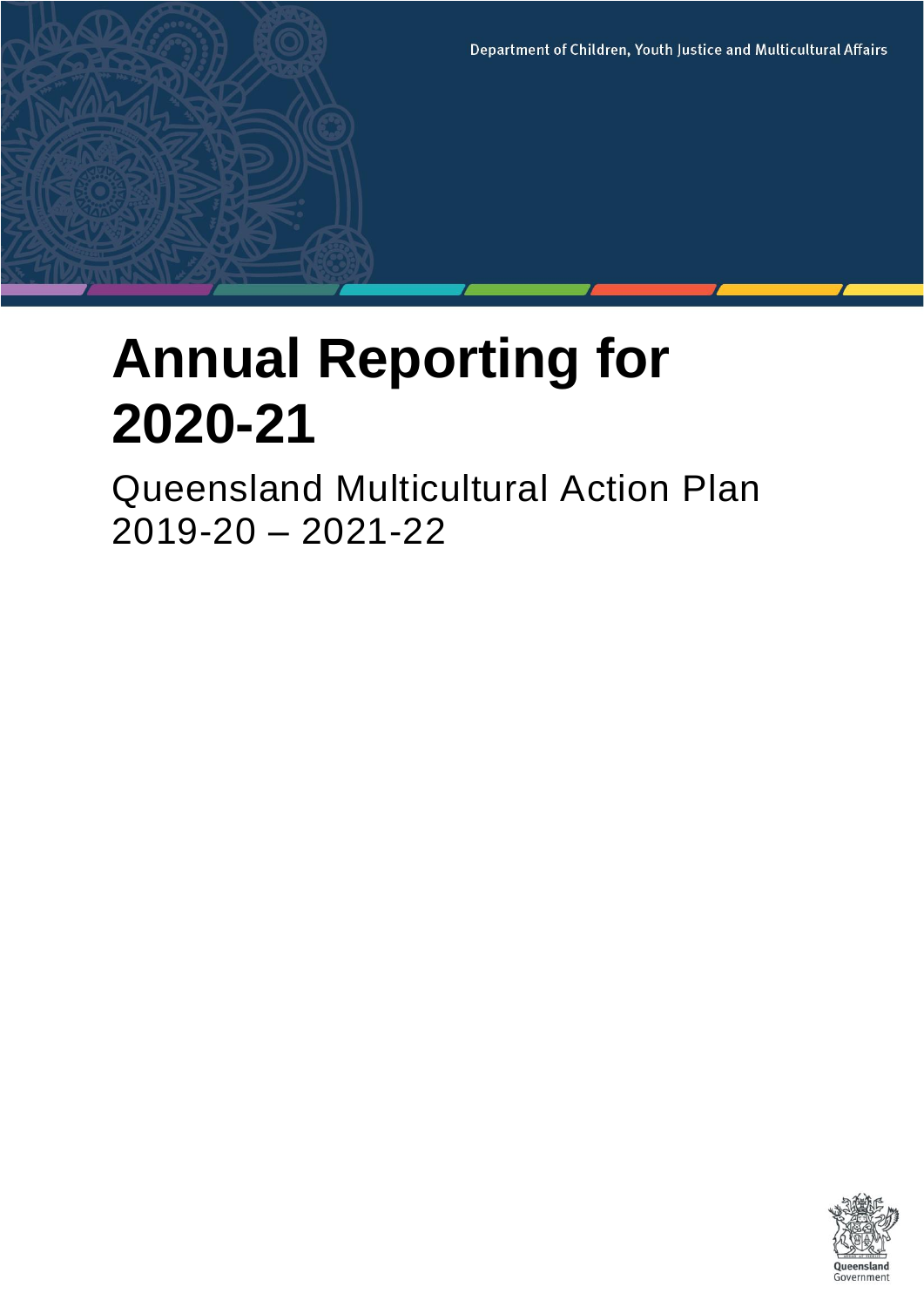

Queensland Multicultural Action Plan 2019-20 – 2021-22

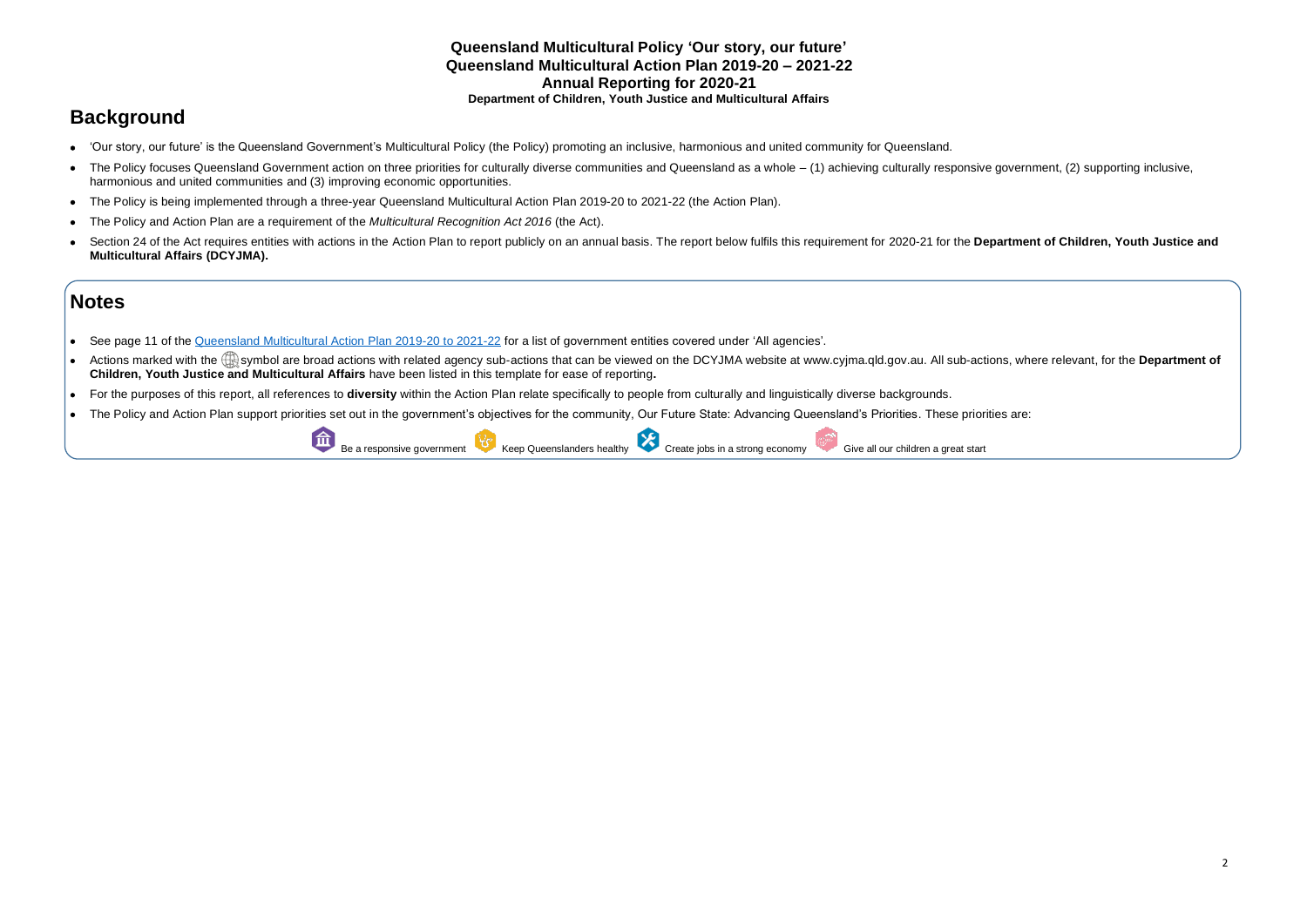### **Queensland Multicultural Policy 'Our story, our future' Queensland Multicultural Action Plan 2019-20 – 2021-22 Annual Reporting for 2020-21 Department of Children, Youth Justice and Multicultural Affairs**

# **Background**

- 'Our story, our future' is the Queensland Government's Multicultural Policy (the Policy) promoting an inclusive, harmonious and united community for Queensland.
- The Policy focuses Queensland Government action on three priorities for culturally diverse communities and Queensland as a whole (1) achieving culturally responsive government, (2) supporting inclusive, harmonious and united communities and (3) improving economic opportunities.
- The Policy is being implemented through a three-year Queensland Multicultural Action Plan 2019-20 to 2021-22 (the Action Plan).
- The Policy and Action Plan are a requirement of the *Multicultural Recognition Act 2016* (the Act).
- Section 24 of the Act requires entities with actions in the Action Plan to report publicly on an annual basis. The report below fulfils this requirement for 2020-21 for the Department of Children. Youth Justice and **Multicultural Affairs (DCYJMA).**

# **Notes**

- See page 11 of the [Queensland Multicultural Action Plan 2019-20 to 2021-22](https://www.cyjma.qld.gov.au/resources/dcsyw/multicultural-affairs/policy-governance/multicultural-action-plan-2019-2022.pdf) for a list of government entities covered under 'All agencies'.
- Actions marked with the **Rest are broad actions with related agency sub-actions that can be viewed on the DCYJMA website at www.cyjma.qld.gov.au. All sub-actions, where relevant, for the Department of Children, Youth Justice and Multicultural Affairs** have been listed in this template for ease of reporting**.**
- For the purposes of this report, all references to **diversity** within the Action Plan relate specifically to people from culturally and linguistically diverse backgrounds.
- The Policy and Action Plan support priorities set out in the government's objectives for the community, Our Future State: Advancing Queensland's Priorities. These priorities are:

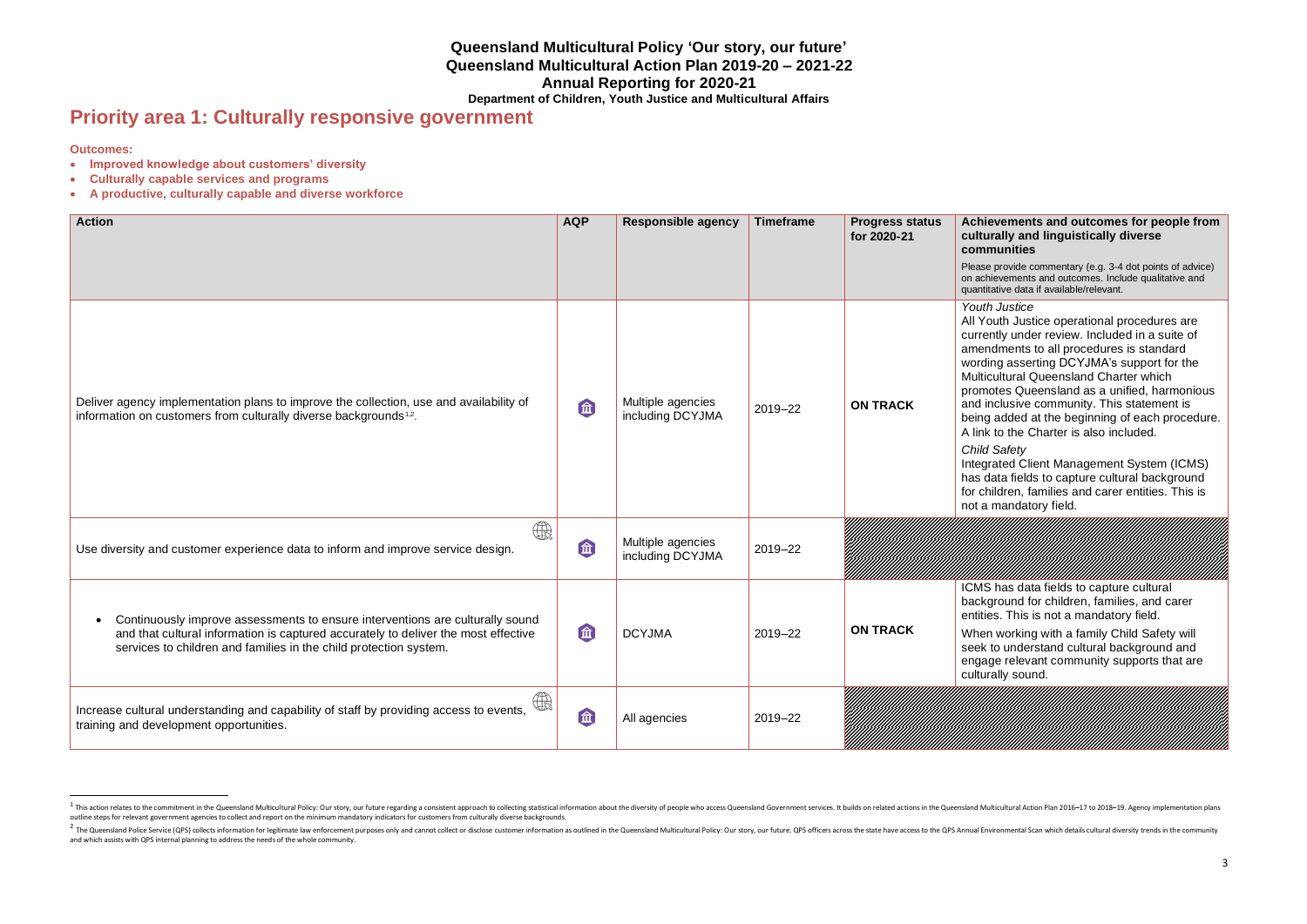### **Queensland Multicultural Policy 'Our story, our future' Queensland Multicultural Action Plan 2019-20 – 2021-22 Annual Reporting for 2020-21 Department of Children, Youth Justice and Multicultural Affairs**

# **Priority area 1: Culturally responsive government**

**Outcomes:** 

- **Improved knowledge about customers' diversity**
- **Culturally capable services and programs**
- **A productive, culturally capable and diverse workforce**

#### **Achievements and outcomes for people from culturally and linguistically diverse communities**

se provide commentary (e.g. 3-4 dot points of advice) chievements and outcomes. Include qualitative and titative data if available/relevant.

#### *<u>th Justice</u>*

Youth Justice operational procedures are ently under review. Included in a suite of amendments to all procedures is standard ding asserting DCYJMA's support for the icultural Queensland Charter which notes Queensland as a unified, harmonious inclusive community. This statement is g added at the beginning of each procedure. Ik to the Charter is also included.

#### *Child Safety*

grated Client Management System (ICMS) data fields to capture cultural background children, families and carer entities. This is a mandatory field.

S has data fields to capture cultural kground for children, families, and carer ies. This is not a mandatory field.

en working with a family Child Safety will sto understand cultural background and age relevant community supports that are urally sound.

unnun

| <b>Action</b>                                                                                                                                                                                                                                         | <b>AQP</b> | <b>Responsible agency</b>             | <b>Timeframe</b> | <b>Progress status</b><br>for 2020-21 | <b>Achieve</b><br>cultural<br>commu<br>Please pro<br>on achiev<br>quantitativ                                                                                                                     |
|-------------------------------------------------------------------------------------------------------------------------------------------------------------------------------------------------------------------------------------------------------|------------|---------------------------------------|------------------|---------------------------------------|---------------------------------------------------------------------------------------------------------------------------------------------------------------------------------------------------|
| Deliver agency implementation plans to improve the collection, use and availability of<br>information on customers from culturally diverse backgrounds <sup>1,2</sup> .                                                                               | 命          | Multiple agencies<br>including DCYJMA | 2019-22          | <b>ON TRACK</b>                       | Youth Ju<br><b>All Youth</b><br>currently<br>amendm<br>wording<br><b>Multicult</b><br>promote<br>and inclu<br>being ac<br>A link to<br>Child Sa<br>Integrate<br>has data<br>for child<br>not a ma |
| $\bigoplus \limits_{{\scriptstyle\text{min}}}$<br>Use diversity and customer experience data to inform and improve service design.                                                                                                                    | 命          | Multiple agencies<br>including DCYJMA | 2019-22          |                                       |                                                                                                                                                                                                   |
| Continuously improve assessments to ensure interventions are culturally sound<br>$\bullet$<br>and that cultural information is captured accurately to deliver the most effective<br>services to children and families in the child protection system. | 命          | <b>DCYJMA</b>                         | 2019-22          | <b>ON TRACK</b>                       | ICMS ha<br>backgro<br>entities.<br>When w<br>seek to<br>engage<br>culturally                                                                                                                      |
| $\bigoplus$<br>Increase cultural understanding and capability of staff by providing access to events,<br>training and development opportunities.                                                                                                      | 血          | All agencies                          | 2019-22          |                                       |                                                                                                                                                                                                   |

<sup>1</sup> This action relates to the commitment in the Queensland Multicultural Policy: Our story, our future regarding a consistent approach to collecting statistical information about the diversity of people who access Queenslan outline steps for relevant government agencies to collect and report on the minimum mandatory indicators for customers from culturally diverse backgrounds.

<sup>&</sup>lt;sup>2</sup> The Queensland Police Service (QPS) collects information for legitimate law enforcement purposes only and cannot collect or disclose customer information as outlined in the Queensland Multicultural Policy: Our story, o and which assists with QPS internal planning to address the needs of the whole community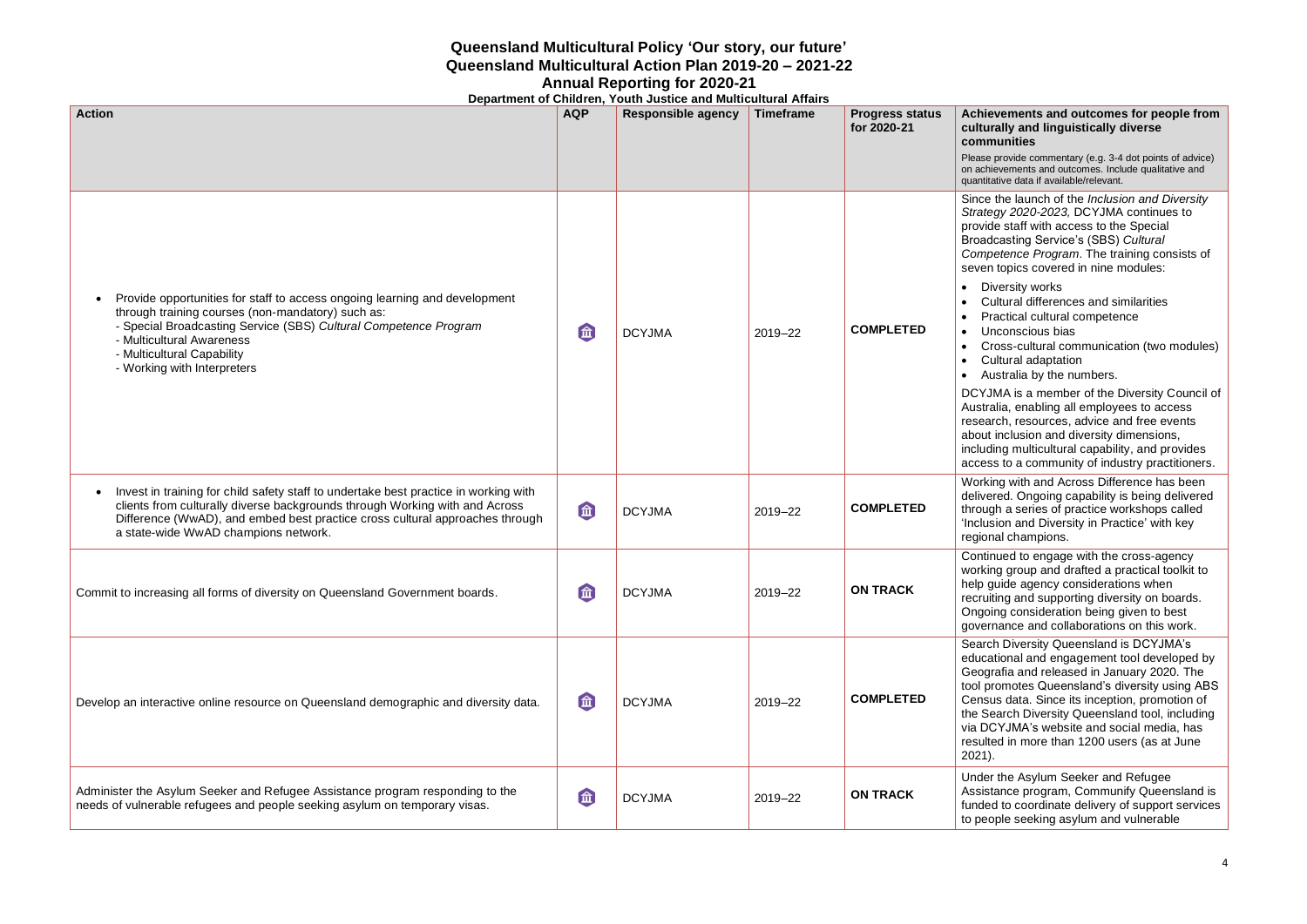|                                                                                                                                                                                                                                                                                                            |            | $1.111$ and $1.0001$ and $1.01$ and $2.001$<br>Department of Children, Youth Justice and Multicultural Affairs |                  |                                       |                                                                                              |
|------------------------------------------------------------------------------------------------------------------------------------------------------------------------------------------------------------------------------------------------------------------------------------------------------------|------------|----------------------------------------------------------------------------------------------------------------|------------------|---------------------------------------|----------------------------------------------------------------------------------------------|
| <b>Action</b>                                                                                                                                                                                                                                                                                              | <b>AQP</b> | <b>Responsible agency</b>                                                                                      | <b>Timeframe</b> | <b>Progress status</b><br>for 2020-21 | Ac<br>cul<br>COI<br>Plea<br>on a<br>qua                                                      |
| Provide opportunities for staff to access ongoing learning and development<br>$\bullet$<br>through training courses (non-mandatory) such as:<br>- Special Broadcasting Service (SBS) Cultural Competence Program<br>- Multicultural Awareness<br>- Multicultural Capability<br>- Working with Interpreters | 血          | <b>DCYJMA</b>                                                                                                  | 2019-22          | <b>COMPLETED</b>                      | Sin<br>Str<br>pro<br><b>Brc</b><br>Co<br><b>sey</b><br>DC<br>Aus<br>res<br>abo<br>inc<br>aco |
| Invest in training for child safety staff to undertake best practice in working with<br>$\bullet$<br>clients from culturally diverse backgrounds through Working with and Across<br>Difference (WwAD), and embed best practice cross cultural approaches through<br>a state-wide WwAD champions network.   | 血          | <b>DCYJMA</b>                                                                                                  | 2019-22          | <b>COMPLETED</b>                      | Wc<br>del<br>thro<br>ʻlnc<br>reg                                                             |
| Commit to increasing all forms of diversity on Queensland Government boards.                                                                                                                                                                                                                               | 命          | <b>DCYJMA</b>                                                                                                  | 2019-22          | <b>ON TRACK</b>                       | Co<br><b>WO</b><br>hel<br>rec<br>On<br>gov                                                   |
| Develop an interactive online resource on Queensland demographic and diversity data.                                                                                                                                                                                                                       | 命          | <b>DCYJMA</b>                                                                                                  | 2019-22          | <b>COMPLETED</b>                      | Sea<br>edu<br>Ge<br>too<br>Ce<br>the<br>via<br>res<br>202                                    |
| Administer the Asylum Seeker and Refugee Assistance program responding to the<br>needs of vulnerable refugees and people seeking asylum on temporary visas.                                                                                                                                                | 血          | <b>DCYJMA</b>                                                                                                  | 2019-22          | <b>ON TRACK</b>                       | Un<br>As:<br>fun                                                                             |

**Annual Reporting for 2020-21**

#### **Achievements and outcomes for people from culturally and linguistically diverse communities**

ase provide commentary (e.g. 3-4 dot points of advice) achievements and outcomes. Include qualitative and antitative data if available/relevant.

Ince the launch of the *Inclusion and Diversity Strategy 2020-2023,* DCYJMA continues to pvide staff with access to the Special Broadcasting Service's (SBS) *Cultural Competence Program*. The training consists of ven topics covered in nine modules:

- Diversity works
- Cultural differences and similarities
- Practical cultural competence
- Unconscious bias
- Cross-cultural communication (two modules) • Cultural adaptation
- Australia by the numbers.

CYJMA is a member of the Diversity Council of stralia, enabling all employees to access search, resources, advice and free events out inclusion and diversity dimensions, luding multicultural capability, and provides cess to a community of industry practitioners.

orking with and Across Difference has been livered. Ongoing capability is being delivered ough a series of practice workshops called clusion and Diversity in Practice' with key qional champions.

ontinued to engage with the cross-agency orking group and drafted a practical toolkit to Ip guide agency considerations when cruiting and supporting diversity on boards. ngoing consideration being given to best vernance and collaborations on this work.

arch Diversity Queensland is DCYJMA's ucational and engagement tool developed by eografia and released in January 2020. The ol promotes Queensland's diversity using ABS ensus data. Since its inception, promotion of Search Diversity Queensland tool, including DCYJMA's website and social media, has sulted in more than 1200 users (as at June 21).

der the Asylum Seeker and Refugee sistance program, Communify Queensland is ded to coordinate delivery of support services to people seeking asylum and vulnerable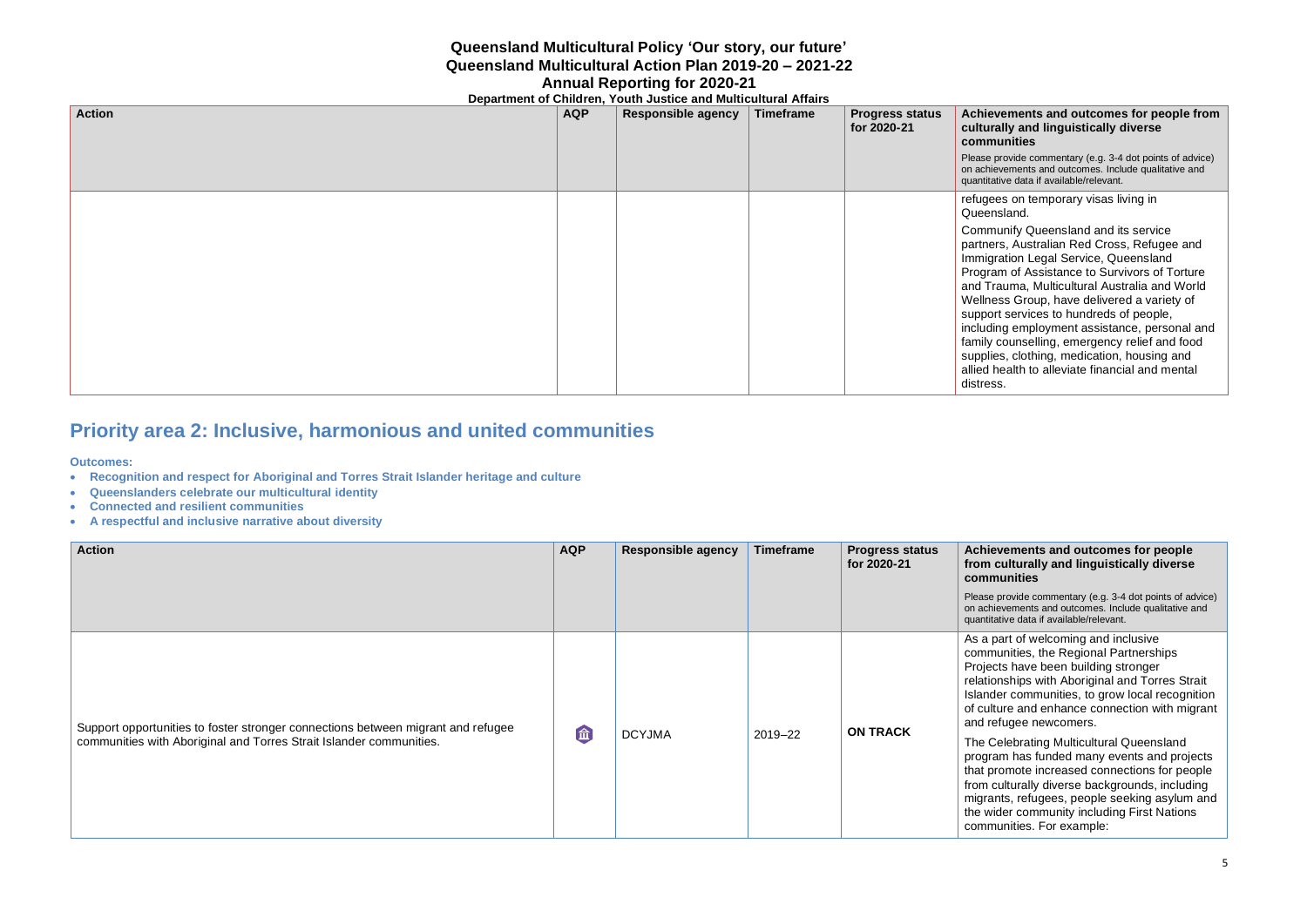### **Queensland Multicultural Policy 'Our story, our future' Queensland Multicultural Action Plan 2019-20 – 2021-22 Annual Reporting for 2020-21**

**Department of Children, Youth Justice and Multicultural Affairs**

| <b>Action</b> | <b>AQP</b> | $\overline{\phantom{a}}$<br><b>Responsible agency</b> | Timeframe | <b>Progress status</b><br>for 2020-21 | <b>Achie</b><br>cultu<br>comr<br>Please<br>on ach<br>quantit |
|---------------|------------|-------------------------------------------------------|-----------|---------------------------------------|--------------------------------------------------------------|
|               |            |                                                       |           |                                       | refug<br>Quee                                                |
|               |            |                                                       |           |                                       | Comr<br>partne<br>Immig<br>Progr<br>and T<br>Welln<br>suppo  |
|               |            |                                                       |           |                                       | incluc<br>family<br>suppl<br>allied<br>distre                |

#### **Achievements and outcomes for people from culturally and linguistically diverse communities**

provide commentary (e.g. 3-4 dot points of advice) ievements and outcomes. Include qualitative and tative data if available/relevant.

ees on temporary visas living in ensland.

munify Queensland and its service ers, Australian Red Cross, Refugee and aration Legal Service, Queensland ram of Assistance to Survivors of Torture **Frauma, Multicultural Australia and World** ness Group, have delivered a variety of ort services to hundreds of people, ding employment assistance, personal and counselling, emergency relief and food lies, clothing, medication, housing and health to alleviate financial and mental dss.

| <b>Action</b>                                                                                                                                           | <b>AQP</b> | <b>Responsible agency</b> | <b>Timeframe</b> | <b>Progress status</b><br>for 2020-21 | Achi<br>from<br>com<br>Pleas<br>on ac<br>quant                                                                      |
|---------------------------------------------------------------------------------------------------------------------------------------------------------|------------|---------------------------|------------------|---------------------------------------|---------------------------------------------------------------------------------------------------------------------|
| Support opportunities to foster stronger connections between migrant and refugee<br>communities with Aboriginal and Torres Strait Islander communities. | 命          | <b>DCYJMA</b>             | 2019-22          | <b>ON TRACK</b>                       | As a<br>com<br>Proje<br>relati<br>Islan<br>of cu<br>and i<br>The<br>prog<br>that p<br>from<br>migra<br>the v<br>com |

### **Priority area 2: Inclusive, harmonious and united communities**

**Outcomes:** 

- **Recognition and respect for Aboriginal and Torres Strait Islander heritage and culture**
- **Queenslanders celebrate our multicultural identity**
- **Connected and resilient communities**
- **A respectful and inclusive narrative about diversity**

#### **Achievements and outcomes for people from culturally and linguistically diverse communities**

e provide commentary (e.g. 3-4 dot points of advice) hievements and outcomes. Include qualitative and itative data if available/relevant.

part of welcoming and inclusive munities, the Regional Partnerships ects have been building stronger ionships with Aboriginal and Torres Strait Ider communities, to grow local recognition liture and enhance connection with migrant refugee newcomers.

**Celebrating Multicultural Queensland** ram has funded many events and projects promote increased connections for people culturally diverse backgrounds, including ants, refugees, people seeking asylum and vider community including First Nations munities. For example: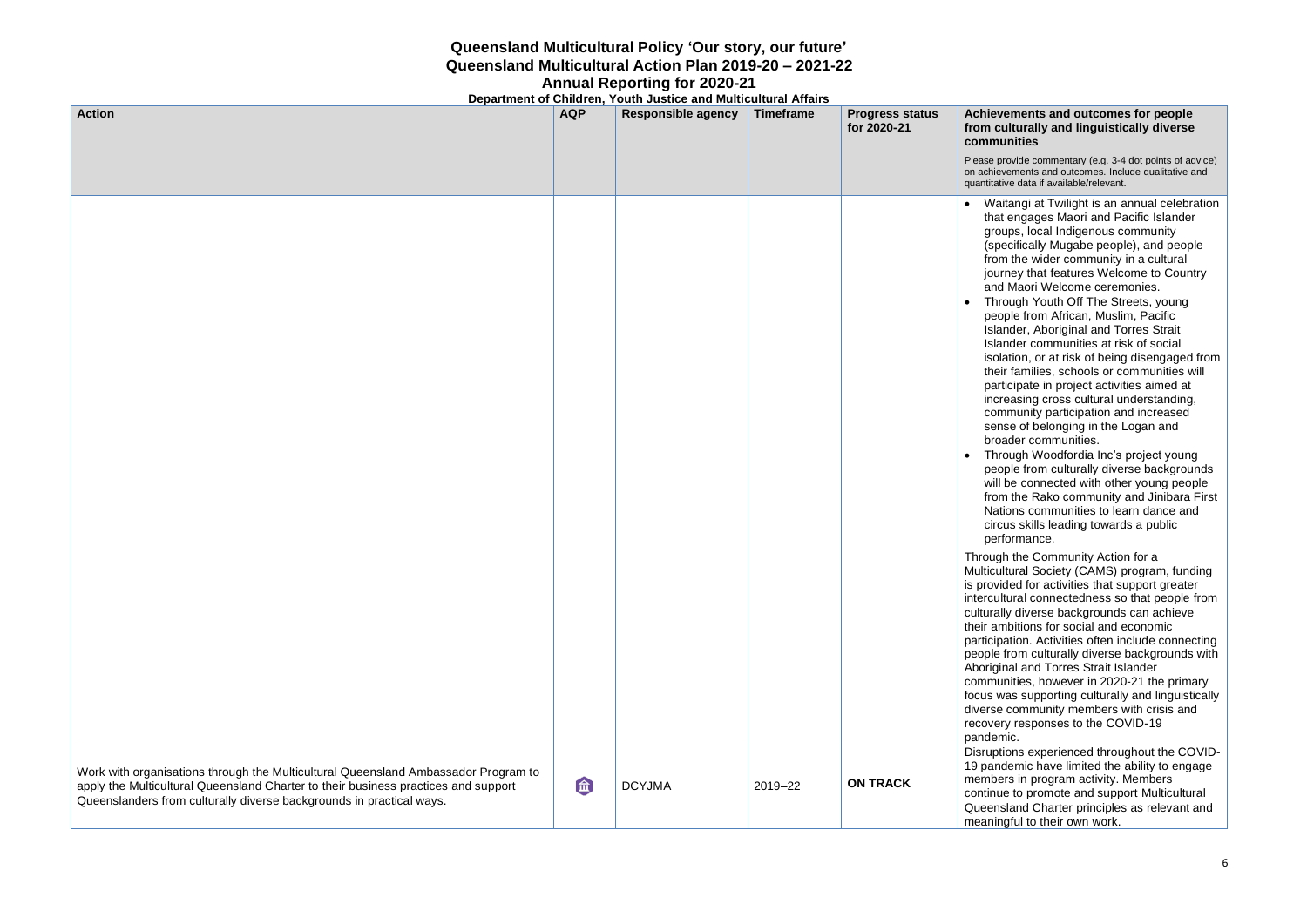#### **Achievements and outcomes for people from culturally and linguistically diverse communities**

e provide commentary (e.g. 3-4 dot points of advice) chievements and outcomes. Include qualitative and itative data if available/relevant.

Waitangi at Twilight is an annual celebration that engages Maori and Pacific Islander groups, local Indigenous community (specifically Mugabe people), and people from the wider community in a cultural journey that features Welcome to Country and Maori Welcome ceremonies. Through Youth Off The Streets, young people from African, Muslim, Pacific Islander, Aboriginal and Torres Strait Islander communities at risk of social isolation, or at risk of being disengaged from their families, schools or communities will participate in project activities aimed at increasing cross cultural understanding, community participation and increased sense of belonging in the Logan and broader communities.

|                                                                                                                                                            |                                                                 | Queensland Multicultural Policy 'Our story, our future' |                  |                                       |                                                                                                  |  |  |  |  |
|------------------------------------------------------------------------------------------------------------------------------------------------------------|-----------------------------------------------------------------|---------------------------------------------------------|------------------|---------------------------------------|--------------------------------------------------------------------------------------------------|--|--|--|--|
|                                                                                                                                                            | Queensland Multicultural Action Plan 2019-20 - 2021-22          |                                                         |                  |                                       |                                                                                                  |  |  |  |  |
|                                                                                                                                                            | <b>Annual Reporting for 2020-21</b>                             |                                                         |                  |                                       |                                                                                                  |  |  |  |  |
|                                                                                                                                                            | Department of Children, Youth Justice and Multicultural Affairs |                                                         |                  |                                       |                                                                                                  |  |  |  |  |
| <b>Action</b>                                                                                                                                              | <b>AQP</b>                                                      | <b>Responsible agency</b>                               | <b>Timeframe</b> | <b>Progress status</b><br>for 2020-21 | <b>Ach</b><br>fron<br>com<br>Pleas<br>on ac<br>quant                                             |  |  |  |  |
|                                                                                                                                                            |                                                                 |                                                         |                  |                                       | $\bullet$ $\prime$                                                                               |  |  |  |  |
|                                                                                                                                                            |                                                                 |                                                         |                  |                                       | Thro<br>Mult<br>is pr<br>inter<br>cultu<br>their<br>parti<br>peop<br>Abol<br>com<br>focu<br>dive |  |  |  |  |
|                                                                                                                                                            |                                                                 |                                                         |                  |                                       | reco<br>pand                                                                                     |  |  |  |  |
|                                                                                                                                                            |                                                                 |                                                         |                  |                                       | Disr                                                                                             |  |  |  |  |
| Work with organisations through the Multicultural Queensland Ambassador Program to                                                                         |                                                                 |                                                         |                  |                                       | 19 p                                                                                             |  |  |  |  |
| apply the Multicultural Queensland Charter to their business practices and support<br>Queenslanders from culturally diverse backgrounds in practical ways. | û                                                               | <b>DCYJMA</b>                                           | 2019-22          | <b>ON TRACK</b>                       | men<br>cont<br>Que<br>mea                                                                        |  |  |  |  |

• Through Woodfordia Inc's project young people from culturally diverse backgrounds will be connected with other young people from the Rako community and Jinibara First Nations communities to learn dance and circus skills leading towards a public performance.

bugh the Community Action for a ticultural Society (CAMS) program, funding rovided for activities that support greater rcultural connectedness so that people from arally diverse backgrounds can achieve ambitions for social and economic icipation. Activities often include connecting ple from culturally diverse backgrounds with riginal and Torres Strait Islander nmunities, however in 2020-21 the primary us was supporting culturally and linguistically rse community members with crisis and overy responses to the COVID-19 demic.

uptions experienced throughout the COVID-) andemic have limited the ability to engage nbers in program activity. Members tinue to promote and support Multicultural ensland Charter principles as relevant and aningful to their own work.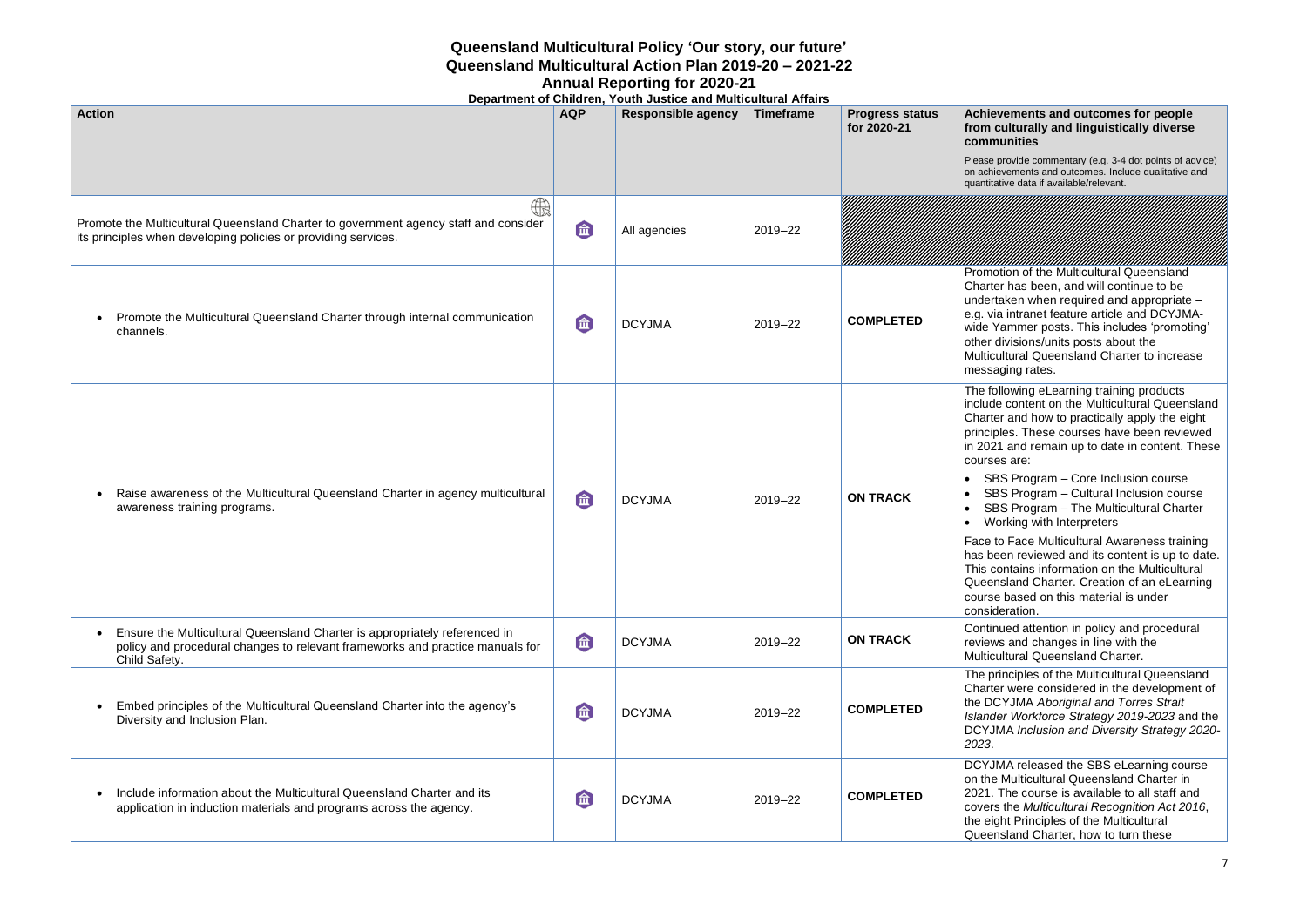**Annual Reporting for 2020-21**

#### **Achievements and outcomes for people from culturally and linguistically diverse communities**

se provide commentary (e.g. 3-4 dot points of advice) chievements and outcomes. Include qualitative and ntitative data if available/relevant.

nnammammammamma

motion of the Multicultural Queensland arter has been, and will continue to be lertaken when required and appropriate  $$ via intranet feature article and DCYJMAe Yammer posts. This includes 'promoting' er divisions/units posts about the ticultural Queensland Charter to increase ssaging rates.

following eLearning training products ude content on the Multicultural Queensland arter and how to practically apply the eight ciples. These courses have been reviewed 021 and remain up to date in content. These rses are:

SBS Program – Core Inclusion course SBS Program – Cultural Inclusion course SBS Program - The Multicultural Charter • Working with Interpreters

e to Face Multicultural Awareness training been reviewed and its content is up to date. s contains information on the Multicultural eensland Charter. Creation of an eLearning rse based on this material is under sideration.

ntinued attention in policy and procedural ews and changes in line with the ticultural Queensland Charter.

principles of the Multicultural Queensland arter were considered in the development of the DCYJMA *Aboriginal and Torres Strait Islander Workforce Strategy 2019-2023* and the DCYJMA *Inclusion and Diversity Strategy 2020- 2023*.

YJMA released the SBS eLearning course the Multicultural Queensland Charter in 1. The course is available to all staff and ers the *Multicultural Recognition Act 2016*, eight Principles of the Multicultural eensland Charter, how to turn these

| Department of Children, Youth Justice and Multicultural Affairs                                                                                                              |            |                           |                  |                                       |                                                                                                                     |
|------------------------------------------------------------------------------------------------------------------------------------------------------------------------------|------------|---------------------------|------------------|---------------------------------------|---------------------------------------------------------------------------------------------------------------------|
| <b>Action</b>                                                                                                                                                                | <b>AQP</b> | <b>Responsible agency</b> | <b>Timeframe</b> | <b>Progress status</b><br>for 2020-21 | Ach<br>fron<br>con<br>Plea<br>on a<br>quan                                                                          |
| $\mathbb{R}$<br>Promote the Multicultural Queensland Charter to government agency staff and consider<br>its principles when developing policies or providing services.       | 命          | All agencies              | 2019-22          |                                       |                                                                                                                     |
| Promote the Multicultural Queensland Charter through internal communication<br>channels.                                                                                     | û          | <b>DCYJMA</b>             | 2019-22          | <b>COMPLETED</b>                      | Pro<br>Cha<br>und<br>e.g.<br>wide<br>othe<br>Mult<br>mes                                                            |
| Raise awareness of the Multicultural Queensland Charter in agency multicultural<br>awareness training programs.                                                              | 命          | <b>DCYJMA</b>             | 2019-22          | <b>ON TRACK</b>                       | The<br>inclu<br>Cha<br>prin<br>in $20$<br>cou<br>$\bullet$<br>$\bullet$<br>Fac<br>has<br>This<br>Que<br>cou<br>con: |
| Ensure the Multicultural Queensland Charter is appropriately referenced in<br>policy and procedural changes to relevant frameworks and practice manuals for<br>Child Safety. | 命          | <b>DCYJMA</b>             | 2019-22          | <b>ON TRACK</b>                       | Con<br>revi<br>Mult                                                                                                 |
| Embed principles of the Multicultural Queensland Charter into the agency's<br>Diversity and Inclusion Plan.                                                                  | 命          | <b>DCYJMA</b>             | 2019-22          | <b>COMPLETED</b>                      | The<br>Cha<br>the<br>Isla<br>DC <sup>\</sup><br>202                                                                 |
| Include information about the Multicultural Queensland Charter and its<br>application in induction materials and programs across the agency.                                 | 血          | <b>DCYJMA</b>             | 2019-22          | <b>COMPLETED</b>                      | DC <sup>\</sup><br>on t<br>202<br>COV<br>the<br>Que                                                                 |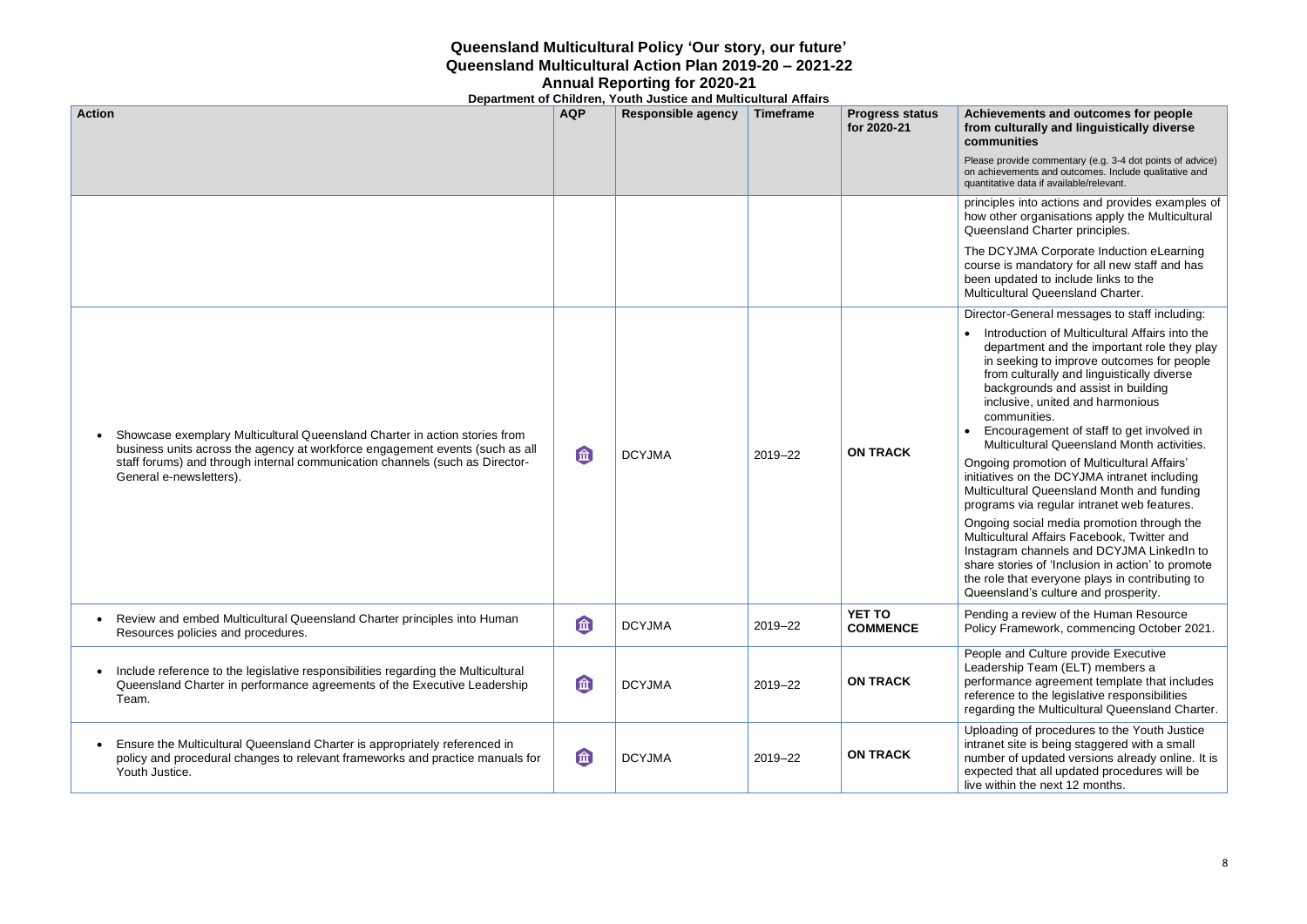#### **Achievements and outcomes for people from culturally and linguistically diverse communities**

e provide commentary (e.g. 3-4 dot points of advice) chievements and outcomes. Include qualitative and itative data if available/relevant.

ciples into actions and provides examples of other organisations apply the Multicultural ensland Charter principles.

DCYJMA Corporate Induction eLearning rse is mandatory for all new staff and has n updated to include links to the icultural Queensland Charter.

ector-General messages to staff including:

• Introduction of Multicultural Affairs into the department and the important role they play in seeking to improve outcomes for people from culturally and linguistically diverse backgrounds and assist in building inclusive, united and harmonious communities.

| Queensland Multicultural Policy 'Our story, our future'<br>Queensland Multicultural Action Plan 2019-20 - 2021-22<br>Department of Children, Youth Justice and Multicultural Affairs                                                                                               | <b>Annual Reporting for 2020-21</b> |                           |                  |                                       |                                                                                                      |
|------------------------------------------------------------------------------------------------------------------------------------------------------------------------------------------------------------------------------------------------------------------------------------|-------------------------------------|---------------------------|------------------|---------------------------------------|------------------------------------------------------------------------------------------------------|
| <b>Action</b>                                                                                                                                                                                                                                                                      | <b>AQP</b>                          | <b>Responsible agency</b> | <b>Timeframe</b> | <b>Progress status</b><br>for 2020-21 | <b>Ach</b><br>fron<br>com<br>Pleas<br>on ac<br>quant                                                 |
|                                                                                                                                                                                                                                                                                    |                                     |                           |                  |                                       | prino<br>how<br>Que<br>The<br>cour<br>beer<br>Mult                                                   |
| Showcase exemplary Multicultural Queensland Charter in action stories from<br>$\bullet$<br>business units across the agency at workforce engagement events (such as all<br>staff forums) and through internal communication channels (such as Director-<br>General e-newsletters). | 血                                   | <b>DCYJMA</b>             | $2019 - 22$      | <b>ON TRACK</b>                       | Dire<br>$\bullet$ l<br>Ong<br>initia<br>Mult<br>prog<br>Ong<br>Mult<br>Insta<br>shar<br>the r<br>Que |
| Review and embed Multicultural Queensland Charter principles into Human<br>$\bullet$<br>Resources policies and procedures.                                                                                                                                                         | 命                                   | <b>DCYJMA</b>             | 2019-22          | <b>YET TO</b><br><b>COMMENCE</b>      | Pen<br>Polio                                                                                         |
| Include reference to the legislative responsibilities regarding the Multicultural<br>$\bullet$<br>Queensland Charter in performance agreements of the Executive Leadership<br>Team.                                                                                                | 血                                   | <b>DCYJMA</b>             | $2019 - 22$      | <b>ON TRACK</b>                       | Peo<br>Lead<br>perf<br>refer<br>rega                                                                 |
| Ensure the Multicultural Queensland Charter is appropriately referenced in<br>policy and procedural changes to relevant frameworks and practice manuals for<br>Youth Justice.                                                                                                      | 命                                   | <b>DCYJMA</b>             | 2019-22          | <b>ON TRACK</b>                       | Uplc<br>intra<br>num<br>exp <sub>0</sub><br>live \                                                   |

• Encouragement of staff to get involved in Multicultural Queensland Month activities.

oing promotion of Multicultural Affairs' atives on the DCYJMA intranet including ticultural Queensland Month and funding grams via regular intranet web features.

oing social media promotion through the icultural Affairs Facebook, Twitter and agram channels and DCYJMA LinkedIn to re stories of 'Inclusion in action' to promote role that everyone plays in contributing to eensland's culture and prosperity.

ding a review of the Human Resource icy Framework, commencing October 2021.

pple and Culture provide Executive dership Team (ELT) members a formance agreement template that includes rence to the legislative responsibilities arding the Multicultural Queensland Charter.

ading of procedures to the Youth Justice anet site is being staggered with a small nber of updated versions already online. It is ected that all updated procedures will be within the next 12 months.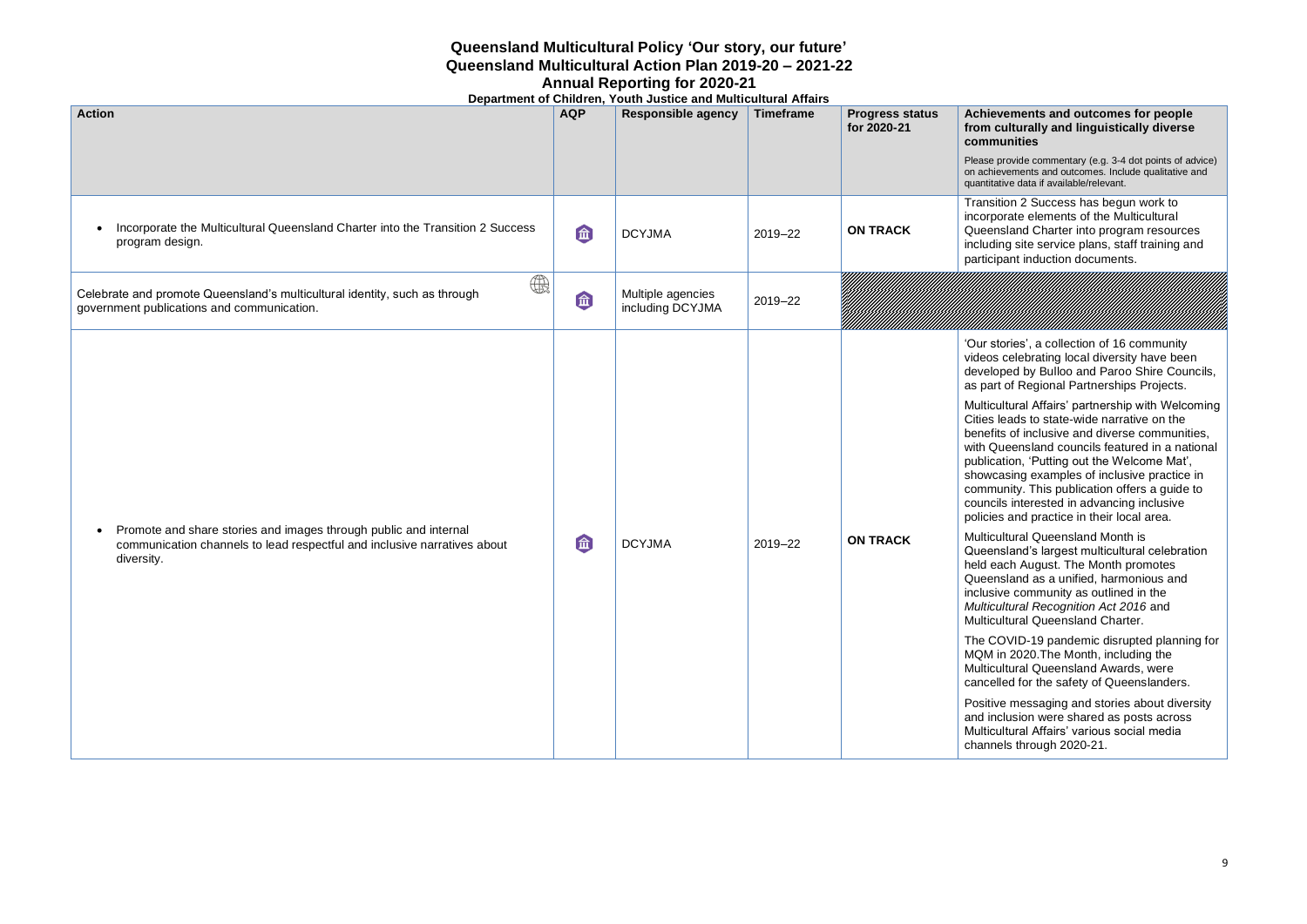**Annual Reporting for 2020-21 Department of Children, Youth Justice and Multicultural Affairs**

#### **Achievements and outcomes for people from culturally and linguistically diverse communities**

se provide commentary (e.g. 3-4 dot points of advice) chievements and outcomes. Include qualitative and ntitative data if available/relevant.

nsition 2 Success has begun work to prporate elements of the Multicultural eensland Charter into program resources uding site service plans, staff training and ticipant induction documents.

MMM 

stories', a collection of 16 community eos celebrating local diversity have been eloped by Bulloo and Paroo Shire Councils, bart of Regional Partnerships Projects.

ticultural Affairs' partnership with Welcoming es leads to state-wide narrative on the efits of inclusive and diverse communities, Queensland councils featured in a national lication, 'Putting out the Welcome Mat', wcasing examples of inclusive practice in nmunity. This publication offers a guide to ncils interested in advancing inclusive cies and practice in their local area.

ticultural Queensland Month is eensland's largest multicultural celebration each August. The Month promotes eensland as a unified, harmonious and usive community as outlined in the *Multicultural Recognition Act 2016* and ticultural Queensland Charter.

COVID-19 pandemic disrupted planning for M in 2020. The Month, including the ticultural Queensland Awards, were celled for the safety of Queenslanders.

itive messaging and stories about diversity l inclusion were shared as posts across ticultural Affairs' various social media nnels through 2020-21.

|                                                                                                                                                                            |            | Department of Children, Youth Justice and Multicultural Affairs |                  |                                       |                                                                                                                                                                                                                                |
|----------------------------------------------------------------------------------------------------------------------------------------------------------------------------|------------|-----------------------------------------------------------------|------------------|---------------------------------------|--------------------------------------------------------------------------------------------------------------------------------------------------------------------------------------------------------------------------------|
| <b>Action</b>                                                                                                                                                              | <b>AQP</b> | <b>Responsible agency</b>                                       | <b>Timeframe</b> | <b>Progress status</b><br>for 2020-21 | <b>Ach</b><br>fron<br>com<br>Pleas<br>on a<br>quan                                                                                                                                                                             |
| Incorporate the Multicultural Queensland Charter into the Transition 2 Success<br>$\bullet$<br>program design.                                                             | û          | <b>DCYJMA</b>                                                   | 2019-22          | <b>ON TRACK</b>                       | Trar<br>inco<br>Que<br>inclu<br>parti                                                                                                                                                                                          |
| $\bigoplus \limits_{{\scriptstyle\text{min}}}$<br>Celebrate and promote Queensland's multicultural identity, such as through<br>government publications and communication. | 血          | Multiple agencies<br>including DCYJMA                           | 2019-22          | <u> UNIMENTALIAN MUHAMMINI SE</u>     |                                                                                                                                                                                                                                |
| Promote and share stories and images through public and internal<br>$\bullet$<br>communication channels to lead respectful and inclusive narratives about<br>diversity.    | 血          | <b>DCYJMA</b>                                                   | 2019-22          | <b>ON TRACK</b>                       | 'Our<br>vide<br>dev<br>as p<br>Mult<br>Citie<br>ben<br>with<br>publ<br>show<br>com<br>cour<br>polic<br>Mult<br>Que<br>held<br>Que<br>inclu<br>Mult<br>Mult<br>The<br><b>MQI</b><br>Mult<br>cand<br>Posi<br>and<br>Mult<br>char |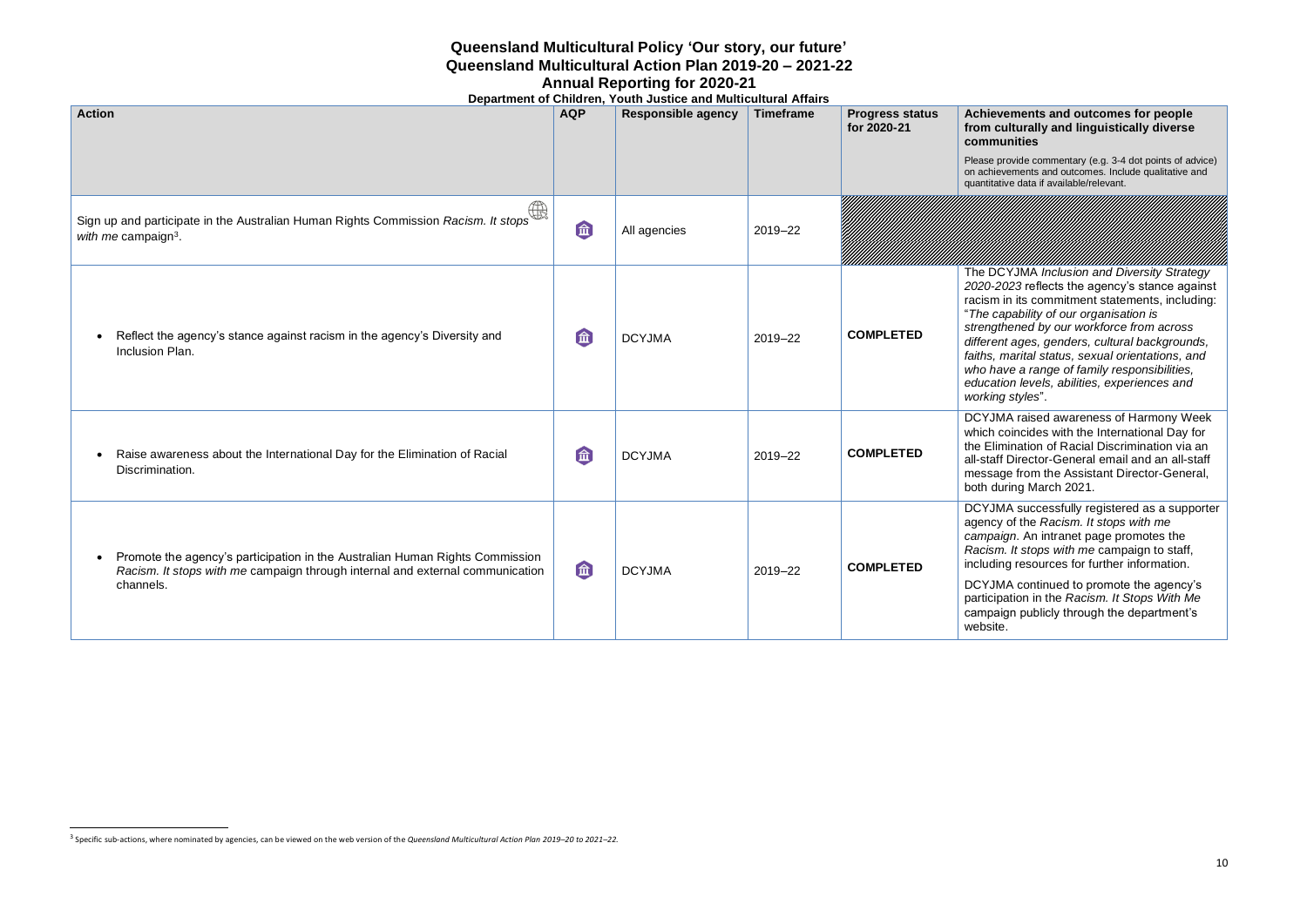**Annual Reporting for 2020-21**

### **Achievements and outcomes for people from culturally and linguistically diverse communities**

e provide commentary (e.g. 3-4 dot points of advice) hievements and outcomes. Include qualitative and itative data if available/relevant.

**DCYJMA** *Inclusion and Diversity Strategy 2020-2023* reflects the agency's stance against sm in its commitment statements, including: *capability of our organisation is strengthened by our workforce from across different ages, genders, cultural backgrounds, faiths, marital status, sexual orientations, and who have a range of family responsibilities, education levels, abilities, experiences and working styles*".

**JMA raised awareness of Harmony Week** h coincides with the International Day for Elimination of Racial Discrimination via an taff Director-General email and an all-staff sage from the Assistant Director-General, during March 2021.

**JMA successfully registered as a supporter** agency of the *Racism. It stops with me campaign*. An intranet page promotes the *ism. It stops with me campaign to staff,* iding resources for further information.

JMA continued to promote the agency's participation in the *Racism. It Stops With Me* paign publicly through the department's site.

|                                                                                                                                                                                         | Department of Children, Youth Justice and Multicultural Affairs |                           |                  |                                       |                                                                                  |
|-----------------------------------------------------------------------------------------------------------------------------------------------------------------------------------------|-----------------------------------------------------------------|---------------------------|------------------|---------------------------------------|----------------------------------------------------------------------------------|
| <b>Action</b>                                                                                                                                                                           | <b>AQP</b>                                                      | <b>Responsible agency</b> | <b>Timeframe</b> | <b>Progress status</b><br>for 2020-21 | Ach<br>from<br>com<br>Pleas<br>on ac<br>quant                                    |
| $\bigoplus$<br>Sign up and participate in the Australian Human Rights Commission Racism. It stops<br>with me campaign <sup>3</sup> .                                                    | 血                                                               | All agencies              | 2019-22          |                                       |                                                                                  |
| Reflect the agency's stance against racism in the agency's Diversity and<br>$\bullet$<br>Inclusion Plan.                                                                                | 血                                                               | <b>DCYJMA</b>             | 2019-22          | <b>COMPLETED</b>                      | The<br>202(<br>racis<br>"The<br>strei<br>diffe<br>faith<br>who<br>educ<br>work   |
| Raise awareness about the International Day for the Elimination of Racial<br>$\bullet$<br>Discrimination.                                                                               | 血                                                               | <b>DCYJMA</b>             | 2019-22          | <b>COMPLETED</b>                      | <b>DCY</b><br>whic<br>the E<br>all-st<br>mes<br>both                             |
| Promote the agency's participation in the Australian Human Rights Commission<br>$\bullet$<br>Racism. It stops with me campaign through internal and external communication<br>channels. | 血                                                               | <b>DCYJMA</b>             | 2019-22          | <b>COMPLETED</b>                      | <b>DCY</b><br>ager<br>cam<br>Raci<br>inclu<br><b>DCY</b><br>parti<br>cam<br>web: |

<sup>3</sup> Specific sub-actions, where nominated by agencies, can be viewed on the web version of the *Queensland Multicultural Action Plan 2019–20 to 2021–22.*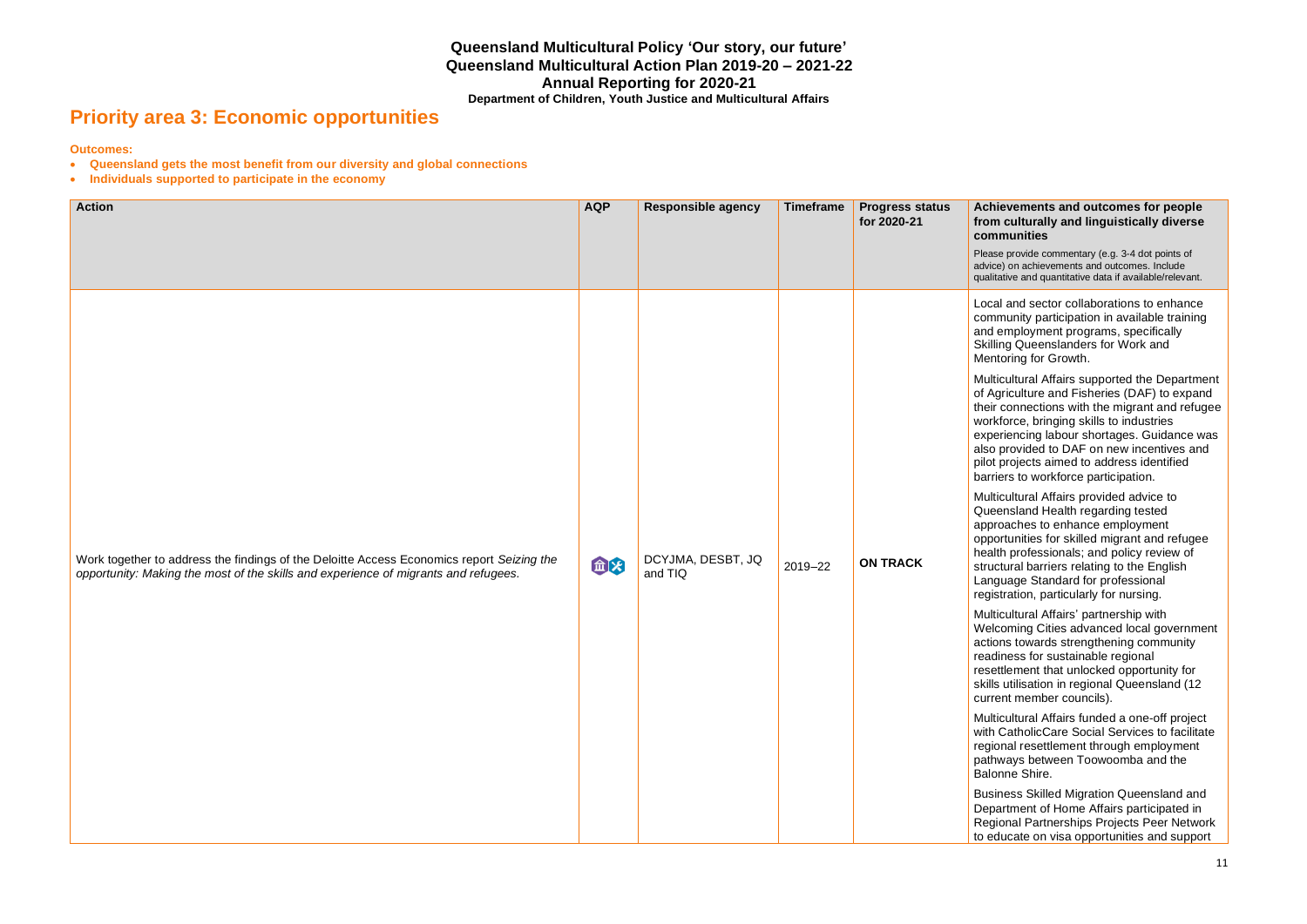# **Priority area 3: Economic opportunities**

**Outcomes:** 

- **Queensland gets the most benefit from our diversity and global connections**
- **Individuals supported to participate in the economy**

#### **Achievements and outcomes for people from culturally and linguistically diverse communities**

ease provide commentary (e.g. 3-4 dot points of lvice) on achievements and outcomes. Include alitative and quantitative data if available/relevant.

ocal and sector collaborations to enhance ommunity participation in available training and employment programs, specifically killing Queenslanders for Work and entoring for Growth.

| <b>Action</b>                                                                                                                                                                    | <b>AQP</b> | Responsible agency           | <b>Timeframe</b> | <b>Progress status</b><br>for 2020-21 | A<br>fro<br>cc<br>P<br>ad<br>qu                                                                                                                                                                                                                                                        |
|----------------------------------------------------------------------------------------------------------------------------------------------------------------------------------|------------|------------------------------|------------------|---------------------------------------|----------------------------------------------------------------------------------------------------------------------------------------------------------------------------------------------------------------------------------------------------------------------------------------|
| Work together to address the findings of the Deloitte Access Economics report Seizing the<br>opportunity: Making the most of the skills and experience of migrants and refugees. | 命文         | DCYJMA, DESBT, JQ<br>and TIQ | 2019-22          | <b>ON TRACK</b>                       | Lo<br>cc<br>ar<br>S <sub>k</sub><br>M<br>M<br>of<br>th<br>W<br>ex<br>als<br>pil<br>$b\epsilon$<br>M<br>Q <sub>0</sub><br>ap<br>op<br>he<br>st<br>Lε<br>re<br>M<br>W<br>ac<br>re<br>re<br>sk<br>$\mathsf{c}\mathsf{u}$<br>M<br>wi<br>re<br>pa<br>Ba<br>B <sub>l</sub><br>D(<br>R(<br>to |

ulticultural Affairs supported the Department Agriculture and Fisheries (DAF) to expand eir connections with the migrant and refugee orkforce, bringing skills to industries experiencing labour shortages. Guidance was so provided to DAF on new incentives and lot projects aimed to address identified barriers to workforce participation.

ulticultural Affairs provided advice to Queensland Health regarding tested approaches to enhance employment opportunities for skilled migrant and refugee ealth professionals; and policy review of ructural barriers relating to the English anguage Standard for professional egistration, particularly for nursing.

ulticultural Affairs' partnership with Welcoming Cities advanced local government ctions towards strengthening community adiness for sustainable regional esettlement that unlocked opportunity for sills utilisation in regional Queensland (12 urrent member councils).

ulticultural Affairs funded a one-off project ith CatholicCare Social Services to facilitate regional resettlement through employment athways between Toowoomba and the alonne Shire.

usiness Skilled Migration Queensland and epartment of Home Affairs participated in egional Partnerships Projects Peer Network educate on visa opportunities and support